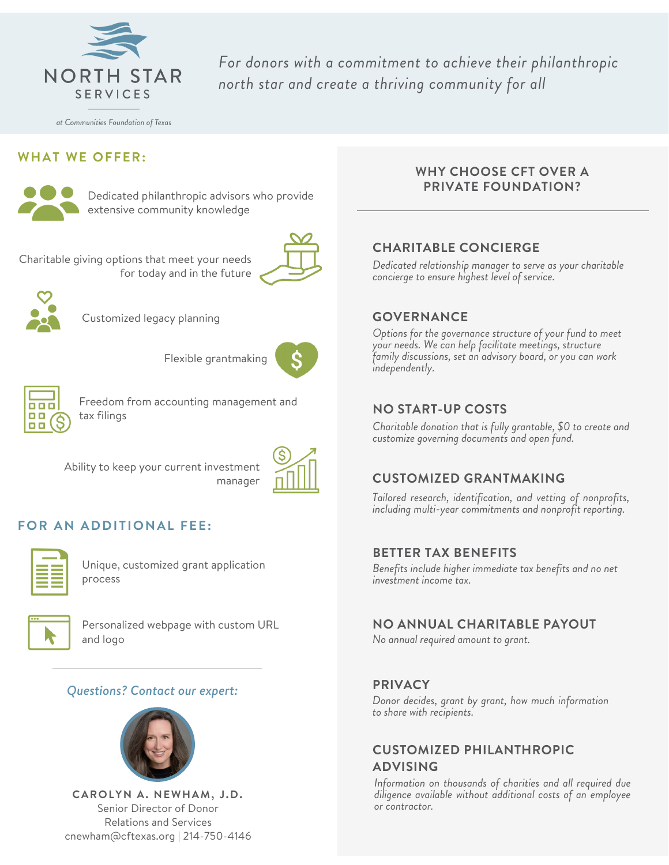

*For donors with a commitment to achieve their philanthropic north star and create a thriving community for all*

at Communities Foundation of Texas

#### **WHAT WE OFFER:**



Dedicated philanthropic advisors who provide extensive community knowledge

Charitable giving options that meet your needs for today and in the future





Customized legacy planning



Freedom from accounting management and tax filings

Flexible grantmaking

Ability to keep your current investment manager



## **FOR AN ADDITIONAL FEE:**



Unique, customized grant application process



Personalized webpage with custom URL and logo

#### *Questions? Contact our expert:*



**CAROLYN A. NEWHAM, J .D.** Senior Director of Donor Relations and Services cnewham@cftexas.org | 214-750-4146

#### **WHY CHOOSE CFT OVER A PRIVATE FOUNDATION?**

## **CHARITABLE CONCIERGE**

*Dedicated relationship manager to serve as your charitable concierge to ensure highest level of service.*

#### **GOVERNANCE**

*Options for the governance structure of your fund to meet your needs. We can help facilitate meetings, structure family discussions, set an advisory board, or you can work independently.*

#### **NO START-UP COSTS**

*Charitable donation that is fully grantable, \$0 to create and customize governing documents and open fund.*

#### **CUSTOMIZED GRANTMAKING**

*Tailored research, identification, and vetting of nonprofits, including multi-year commitments and nonprofit reporting.*

#### **BETTER TAX BENEFITS**

*Benefits include higher immediate tax benefits and no net investment income tax.*

#### **NO ANNUAL CHARITABLE PAYOUT**

*No annual required amount to grant.*

#### **PRIVACY**

*Donor decides, grant by grant, how much information to share with recipients.*

### **CUSTOMIZED PHILANTHROPIC ADVISING**

*Information on thousands of charities and all required due diligence available without additional costs of an employee or contractor.*